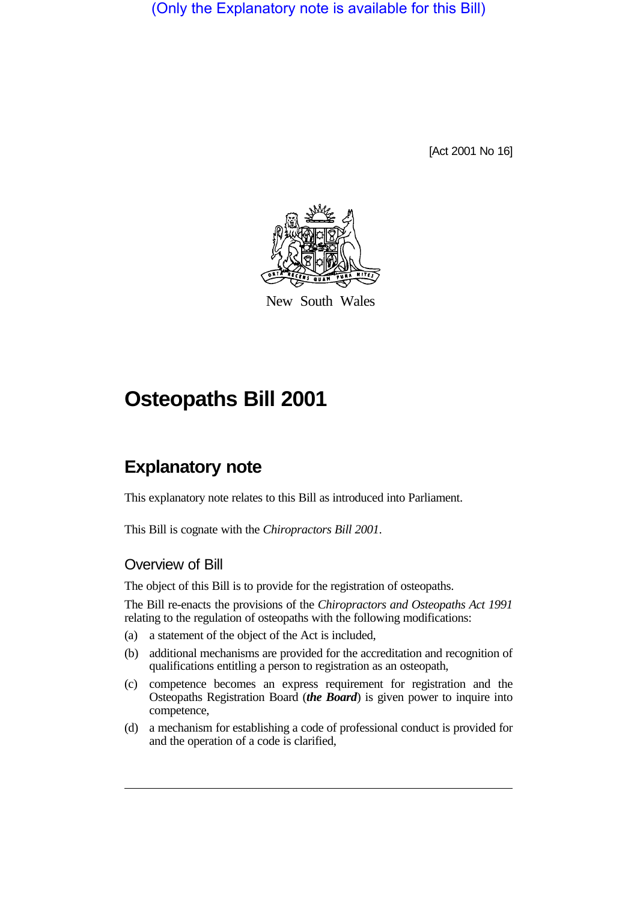(Only the Explanatory note is available for this Bill)

[Act 2001 No 16]



New South Wales

# **Osteopaths Bill 2001**

# **Explanatory note**

This explanatory note relates to this Bill as introduced into Parliament.

This Bill is cognate with the *Chiropractors Bill 2001*.

### Overview of Bill

The object of this Bill is to provide for the registration of osteopaths.

The Bill re-enacts the provisions of the *Chiropractors and Osteopaths Act 1991* relating to the regulation of osteopaths with the following modifications:

- (a) a statement of the object of the Act is included,
- (b) additional mechanisms are provided for the accreditation and recognition of qualifications entitling a person to registration as an osteopath,
- (c) competence becomes an express requirement for registration and the Osteopaths Registration Board (*the Board*) is given power to inquire into competence,
- (d) a mechanism for establishing a code of professional conduct is provided for and the operation of a code is clarified,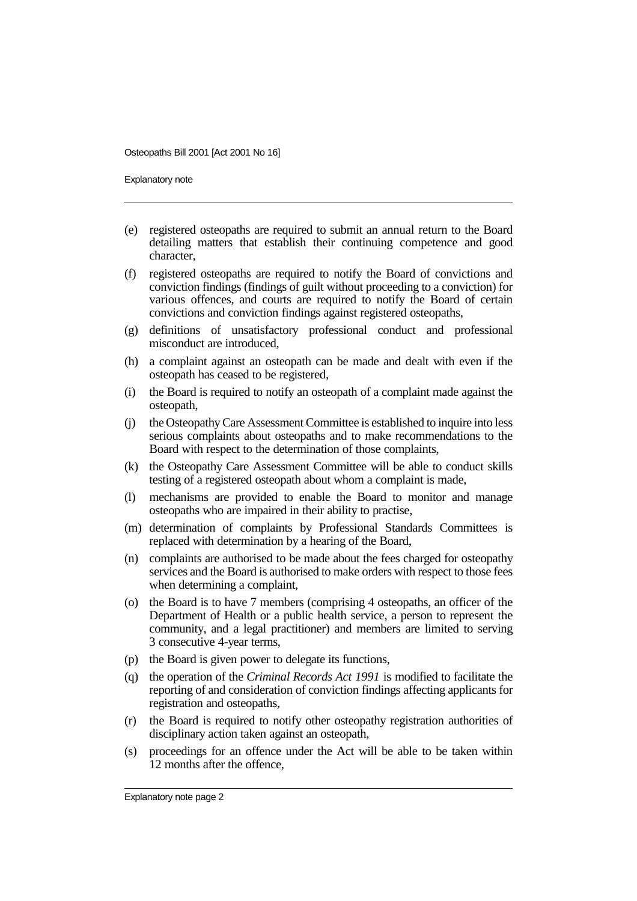Explanatory note

- (e) registered osteopaths are required to submit an annual return to the Board detailing matters that establish their continuing competence and good character,
- (f) registered osteopaths are required to notify the Board of convictions and conviction findings (findings of guilt without proceeding to a conviction) for various offences, and courts are required to notify the Board of certain convictions and conviction findings against registered osteopaths,
- (g) definitions of unsatisfactory professional conduct and professional misconduct are introduced,
- (h) a complaint against an osteopath can be made and dealt with even if the osteopath has ceased to be registered,
- (i) the Board is required to notify an osteopath of a complaint made against the osteopath,
- (j) the Osteopathy Care Assessment Committee is established to inquire into less serious complaints about osteopaths and to make recommendations to the Board with respect to the determination of those complaints,
- (k) the Osteopathy Care Assessment Committee will be able to conduct skills testing of a registered osteopath about whom a complaint is made,
- (l) mechanisms are provided to enable the Board to monitor and manage osteopaths who are impaired in their ability to practise,
- (m) determination of complaints by Professional Standards Committees is replaced with determination by a hearing of the Board,
- (n) complaints are authorised to be made about the fees charged for osteopathy services and the Board is authorised to make orders with respect to those fees when determining a complaint,
- (o) the Board is to have 7 members (comprising 4 osteopaths, an officer of the Department of Health or a public health service, a person to represent the community, and a legal practitioner) and members are limited to serving 3 consecutive 4-year terms,
- (p) the Board is given power to delegate its functions,
- (q) the operation of the *Criminal Records Act 1991* is modified to facilitate the reporting of and consideration of conviction findings affecting applicants for registration and osteopaths,
- (r) the Board is required to notify other osteopathy registration authorities of disciplinary action taken against an osteopath,
- (s) proceedings for an offence under the Act will be able to be taken within 12 months after the offence,

Explanatory note page 2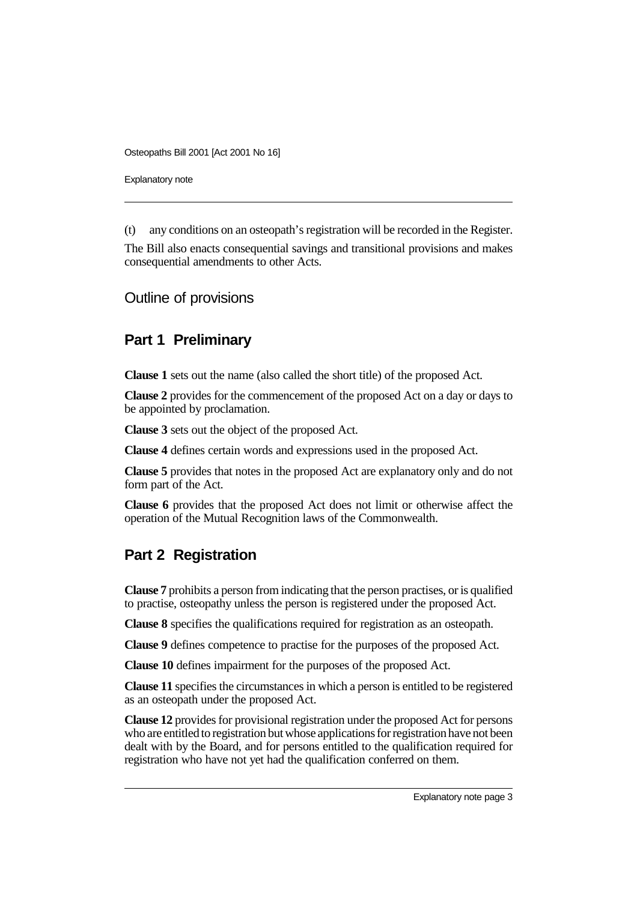Explanatory note

(t) any conditions on an osteopath's registration will be recorded in the Register.

The Bill also enacts consequential savings and transitional provisions and makes consequential amendments to other Acts.

Outline of provisions

# **Part 1 Preliminary**

**Clause 1** sets out the name (also called the short title) of the proposed Act.

**Clause 2** provides for the commencement of the proposed Act on a day or days to be appointed by proclamation.

**Clause 3** sets out the object of the proposed Act.

**Clause 4** defines certain words and expressions used in the proposed Act.

**Clause 5** provides that notes in the proposed Act are explanatory only and do not form part of the Act.

**Clause 6** provides that the proposed Act does not limit or otherwise affect the operation of the Mutual Recognition laws of the Commonwealth.

# **Part 2 Registration**

**Clause 7** prohibits a person from indicating that the person practises, or is qualified to practise, osteopathy unless the person is registered under the proposed Act.

**Clause 8** specifies the qualifications required for registration as an osteopath.

**Clause 9** defines competence to practise for the purposes of the proposed Act.

**Clause 10** defines impairment for the purposes of the proposed Act.

**Clause 11** specifies the circumstances in which a person is entitled to be registered as an osteopath under the proposed Act.

**Clause 12** provides for provisional registration under the proposed Act for persons who are entitled to registration but whose applications for registration have not been dealt with by the Board, and for persons entitled to the qualification required for registration who have not yet had the qualification conferred on them.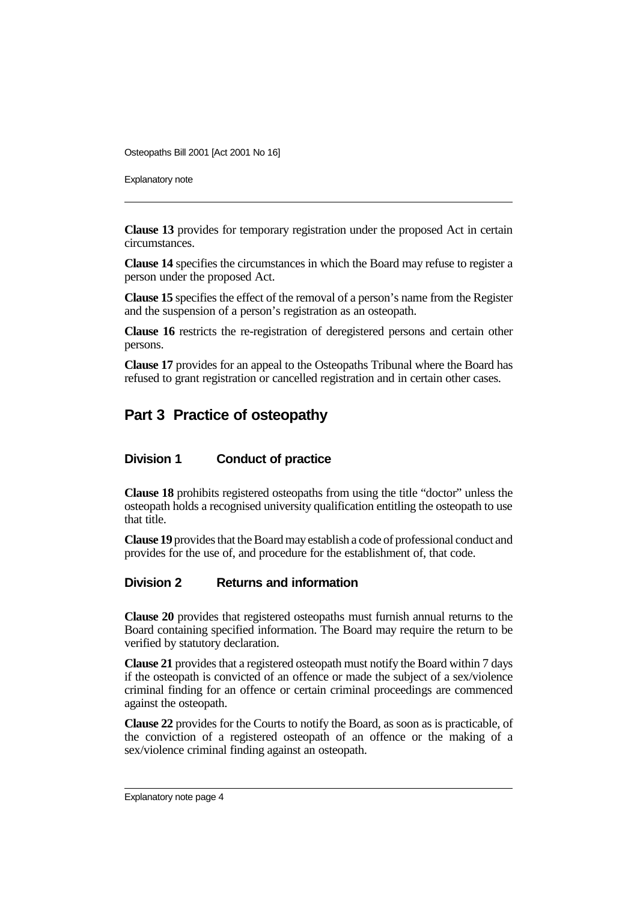Explanatory note

**Clause 13** provides for temporary registration under the proposed Act in certain circumstances.

**Clause 14** specifies the circumstances in which the Board may refuse to register a person under the proposed Act.

**Clause 15** specifies the effect of the removal of a person's name from the Register and the suspension of a person's registration as an osteopath.

**Clause 16** restricts the re-registration of deregistered persons and certain other persons.

**Clause 17** provides for an appeal to the Osteopaths Tribunal where the Board has refused to grant registration or cancelled registration and in certain other cases.

### **Part 3 Practice of osteopathy**

#### **Division 1 Conduct of practice**

**Clause 18** prohibits registered osteopaths from using the title "doctor" unless the osteopath holds a recognised university qualification entitling the osteopath to use that title.

**Clause 19** provides that the Board may establish a code of professional conduct and provides for the use of, and procedure for the establishment of, that code.

#### **Division 2 Returns and information**

**Clause 20** provides that registered osteopaths must furnish annual returns to the Board containing specified information. The Board may require the return to be verified by statutory declaration.

**Clause 21** provides that a registered osteopath must notify the Board within 7 days if the osteopath is convicted of an offence or made the subject of a sex/violence criminal finding for an offence or certain criminal proceedings are commenced against the osteopath.

**Clause 22** provides for the Courts to notify the Board, as soon as is practicable, of the conviction of a registered osteopath of an offence or the making of a sex/violence criminal finding against an osteopath.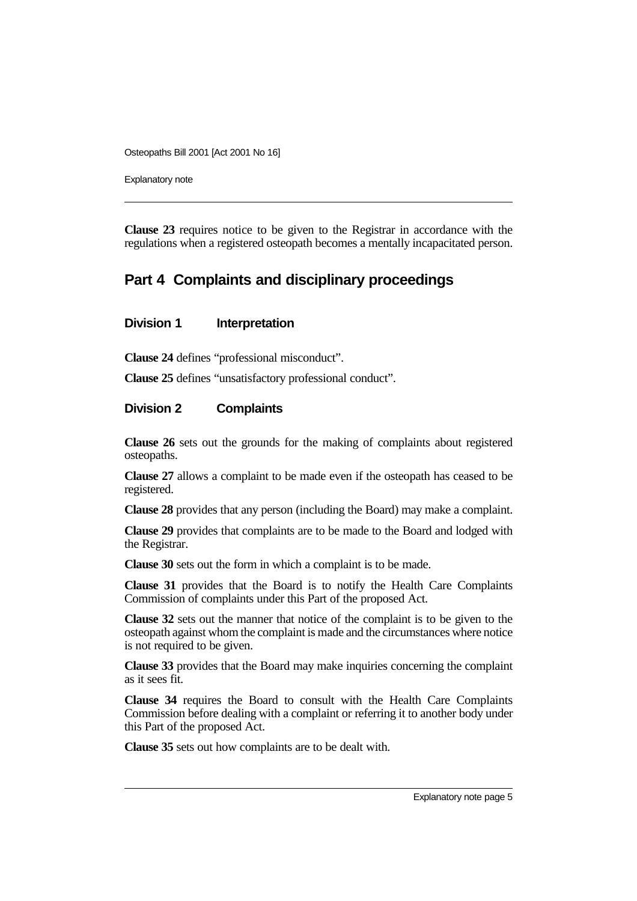Explanatory note

**Clause 23** requires notice to be given to the Registrar in accordance with the regulations when a registered osteopath becomes a mentally incapacitated person.

# **Part 4 Complaints and disciplinary proceedings**

#### **Division 1** Interpretation

**Clause 24** defines "professional misconduct".

**Clause 25** defines "unsatisfactory professional conduct".

#### **Division 2 Complaints**

**Clause 26** sets out the grounds for the making of complaints about registered osteopaths.

**Clause 27** allows a complaint to be made even if the osteopath has ceased to be registered.

**Clause 28** provides that any person (including the Board) may make a complaint.

**Clause 29** provides that complaints are to be made to the Board and lodged with the Registrar.

**Clause 30** sets out the form in which a complaint is to be made.

**Clause 31** provides that the Board is to notify the Health Care Complaints Commission of complaints under this Part of the proposed Act.

**Clause 32** sets out the manner that notice of the complaint is to be given to the osteopath against whom the complaint is made and the circumstances where notice is not required to be given.

**Clause 33** provides that the Board may make inquiries concerning the complaint as it sees fit.

**Clause 34** requires the Board to consult with the Health Care Complaints Commission before dealing with a complaint or referring it to another body under this Part of the proposed Act.

**Clause 35** sets out how complaints are to be dealt with.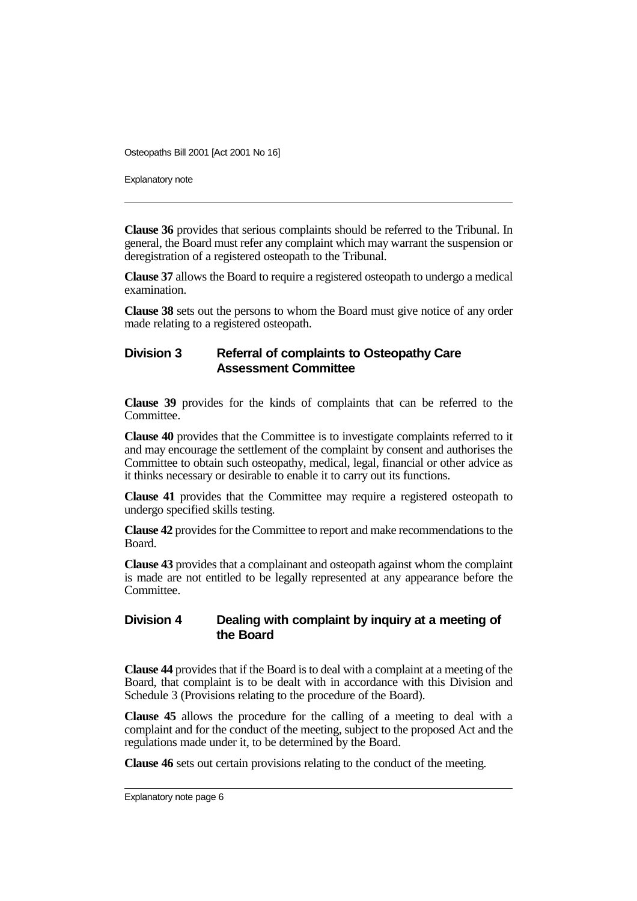Explanatory note

**Clause 36** provides that serious complaints should be referred to the Tribunal. In general, the Board must refer any complaint which may warrant the suspension or deregistration of a registered osteopath to the Tribunal.

**Clause 37** allows the Board to require a registered osteopath to undergo a medical examination.

**Clause 38** sets out the persons to whom the Board must give notice of any order made relating to a registered osteopath.

### **Division 3 Referral of complaints to Osteopathy Care Assessment Committee**

**Clause 39** provides for the kinds of complaints that can be referred to the Committee.

**Clause 40** provides that the Committee is to investigate complaints referred to it and may encourage the settlement of the complaint by consent and authorises the Committee to obtain such osteopathy, medical, legal, financial or other advice as it thinks necessary or desirable to enable it to carry out its functions.

**Clause 41** provides that the Committee may require a registered osteopath to undergo specified skills testing.

**Clause 42** provides for the Committee to report and make recommendations to the Board.

**Clause 43** provides that a complainant and osteopath against whom the complaint is made are not entitled to be legally represented at any appearance before the Committee.

#### **Division 4 Dealing with complaint by inquiry at a meeting of the Board**

**Clause 44** provides that if the Board is to deal with a complaint at a meeting of the Board, that complaint is to be dealt with in accordance with this Division and Schedule 3 (Provisions relating to the procedure of the Board).

**Clause 45** allows the procedure for the calling of a meeting to deal with a complaint and for the conduct of the meeting, subject to the proposed Act and the regulations made under it, to be determined by the Board.

**Clause 46** sets out certain provisions relating to the conduct of the meeting.

Explanatory note page 6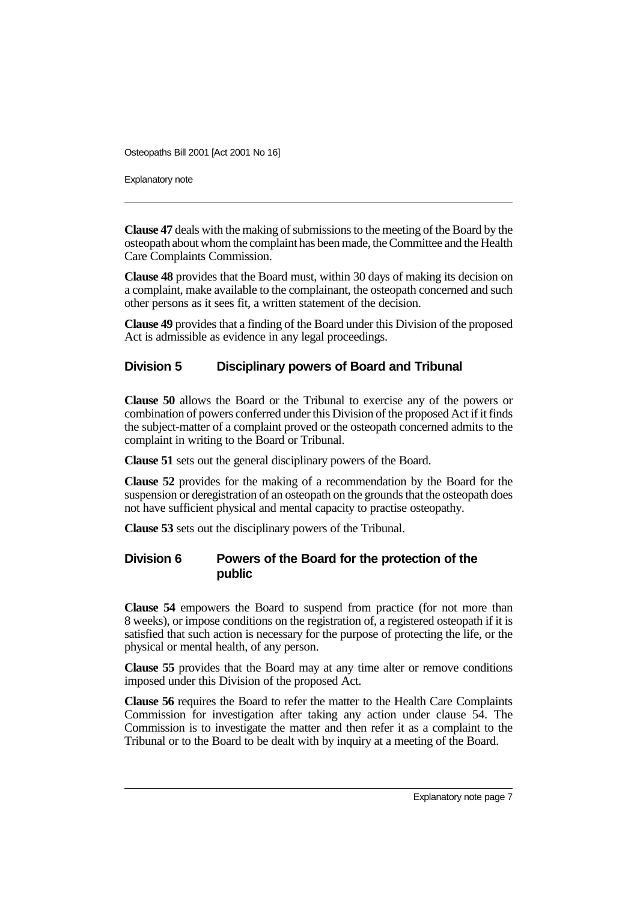Explanatory note

**Clause 47** deals with the making of submissions to the meeting of the Board by the osteopath about whom the complaint has been made, the Committee and the Health Care Complaints Commission.

**Clause 48** provides that the Board must, within 30 days of making its decision on a complaint, make available to the complainant, the osteopath concerned and such other persons as it sees fit, a written statement of the decision.

**Clause 49** provides that a finding of the Board under this Division of the proposed Act is admissible as evidence in any legal proceedings.

#### **Division 5 Disciplinary powers of Board and Tribunal**

**Clause 50** allows the Board or the Tribunal to exercise any of the powers or combination of powers conferred under this Division of the proposed Act if it finds the subject-matter of a complaint proved or the osteopath concerned admits to the complaint in writing to the Board or Tribunal.

**Clause 51** sets out the general disciplinary powers of the Board.

**Clause 52** provides for the making of a recommendation by the Board for the suspension or deregistration of an osteopath on the grounds that the osteopath does not have sufficient physical and mental capacity to practise osteopathy.

**Clause 53** sets out the disciplinary powers of the Tribunal.

#### **Division 6 Powers of the Board for the protection of the public**

**Clause 54** empowers the Board to suspend from practice (for not more than 8 weeks), or impose conditions on the registration of, a registered osteopath if it is satisfied that such action is necessary for the purpose of protecting the life, or the physical or mental health, of any person.

**Clause 55** provides that the Board may at any time alter or remove conditions imposed under this Division of the proposed Act.

**Clause 56** requires the Board to refer the matter to the Health Care Complaints Commission for investigation after taking any action under clause 54. The Commission is to investigate the matter and then refer it as a complaint to the Tribunal or to the Board to be dealt with by inquiry at a meeting of the Board.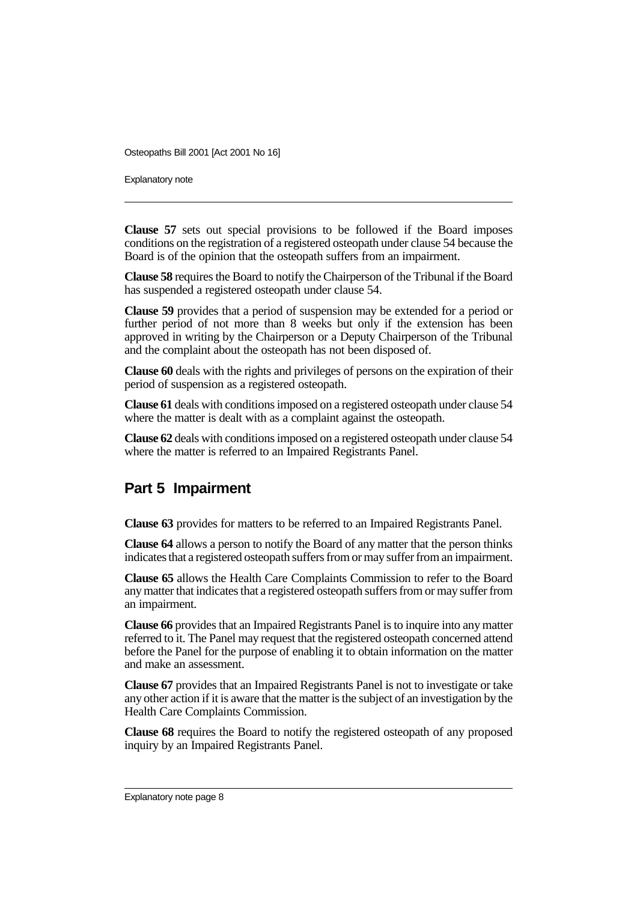Explanatory note

**Clause 57** sets out special provisions to be followed if the Board imposes conditions on the registration of a registered osteopath under clause 54 because the Board is of the opinion that the osteopath suffers from an impairment.

**Clause 58** requires the Board to notify the Chairperson of the Tribunal if the Board has suspended a registered osteopath under clause 54.

**Clause 59** provides that a period of suspension may be extended for a period or further period of not more than 8 weeks but only if the extension has been approved in writing by the Chairperson or a Deputy Chairperson of the Tribunal and the complaint about the osteopath has not been disposed of.

**Clause 60** deals with the rights and privileges of persons on the expiration of their period of suspension as a registered osteopath.

**Clause 61** deals with conditions imposed on a registered osteopath under clause 54 where the matter is dealt with as a complaint against the osteopath.

**Clause 62** deals with conditions imposed on a registered osteopath under clause 54 where the matter is referred to an Impaired Registrants Panel.

# **Part 5 Impairment**

**Clause 63** provides for matters to be referred to an Impaired Registrants Panel.

**Clause 64** allows a person to notify the Board of any matter that the person thinks indicates that a registered osteopath suffers from or may suffer from an impairment.

**Clause 65** allows the Health Care Complaints Commission to refer to the Board any matter that indicates that a registered osteopath suffers from or may suffer from an impairment.

**Clause 66** provides that an Impaired Registrants Panel is to inquire into any matter referred to it. The Panel may request that the registered osteopath concerned attend before the Panel for the purpose of enabling it to obtain information on the matter and make an assessment.

**Clause 67** provides that an Impaired Registrants Panel is not to investigate or take any other action if it is aware that the matter is the subject of an investigation by the Health Care Complaints Commission.

**Clause 68** requires the Board to notify the registered osteopath of any proposed inquiry by an Impaired Registrants Panel.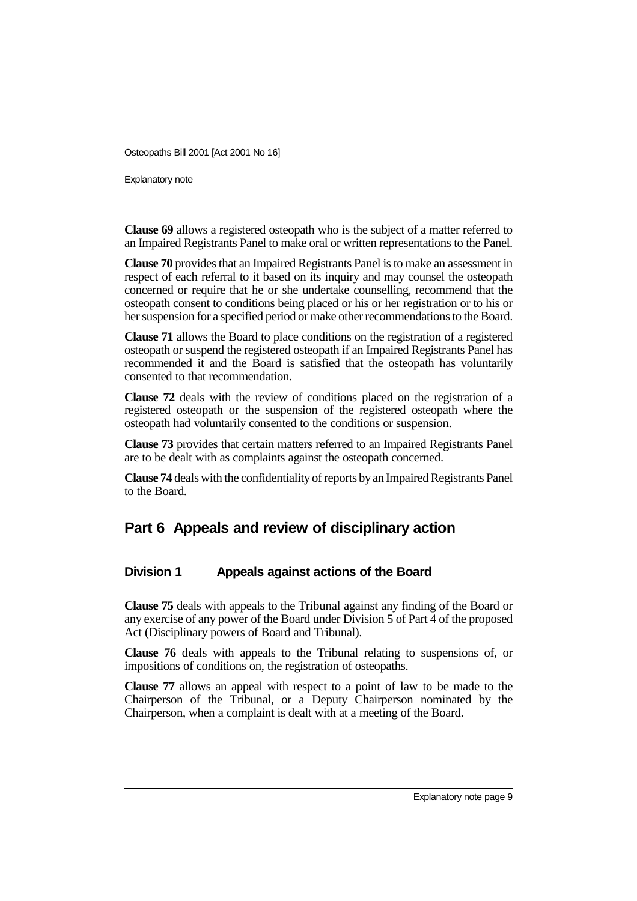Explanatory note

**Clause 69** allows a registered osteopath who is the subject of a matter referred to an Impaired Registrants Panel to make oral or written representations to the Panel.

**Clause 70** provides that an Impaired Registrants Panel is to make an assessment in respect of each referral to it based on its inquiry and may counsel the osteopath concerned or require that he or she undertake counselling, recommend that the osteopath consent to conditions being placed or his or her registration or to his or her suspension for a specified period or make other recommendations to the Board.

**Clause 71** allows the Board to place conditions on the registration of a registered osteopath or suspend the registered osteopath if an Impaired Registrants Panel has recommended it and the Board is satisfied that the osteopath has voluntarily consented to that recommendation.

**Clause 72** deals with the review of conditions placed on the registration of a registered osteopath or the suspension of the registered osteopath where the osteopath had voluntarily consented to the conditions or suspension.

**Clause 73** provides that certain matters referred to an Impaired Registrants Panel are to be dealt with as complaints against the osteopath concerned.

**Clause 74** deals with the confidentiality of reports by an Impaired Registrants Panel to the Board.

### **Part 6 Appeals and review of disciplinary action**

#### **Division 1 Appeals against actions of the Board**

**Clause 75** deals with appeals to the Tribunal against any finding of the Board or any exercise of any power of the Board under Division 5 of Part 4 of the proposed Act (Disciplinary powers of Board and Tribunal).

**Clause 76** deals with appeals to the Tribunal relating to suspensions of, or impositions of conditions on, the registration of osteopaths.

**Clause 77** allows an appeal with respect to a point of law to be made to the Chairperson of the Tribunal, or a Deputy Chairperson nominated by the Chairperson, when a complaint is dealt with at a meeting of the Board.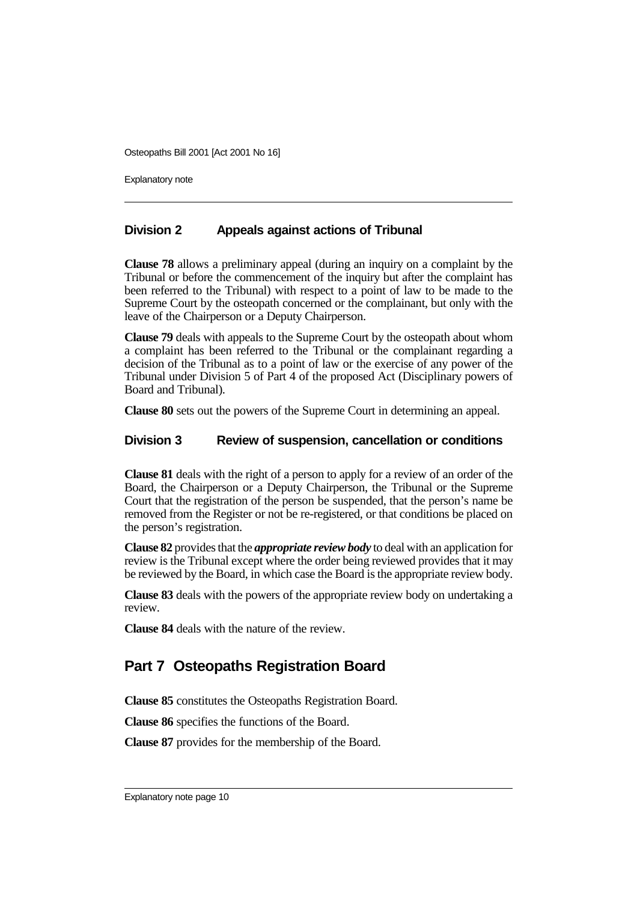Explanatory note

#### **Division 2 Appeals against actions of Tribunal**

**Clause 78** allows a preliminary appeal (during an inquiry on a complaint by the Tribunal or before the commencement of the inquiry but after the complaint has been referred to the Tribunal) with respect to a point of law to be made to the Supreme Court by the osteopath concerned or the complainant, but only with the leave of the Chairperson or a Deputy Chairperson.

**Clause 79** deals with appeals to the Supreme Court by the osteopath about whom a complaint has been referred to the Tribunal or the complainant regarding a decision of the Tribunal as to a point of law or the exercise of any power of the Tribunal under Division 5 of Part 4 of the proposed Act (Disciplinary powers of Board and Tribunal).

**Clause 80** sets out the powers of the Supreme Court in determining an appeal.

#### **Division 3 Review of suspension, cancellation or conditions**

**Clause 81** deals with the right of a person to apply for a review of an order of the Board, the Chairperson or a Deputy Chairperson, the Tribunal or the Supreme Court that the registration of the person be suspended, that the person's name be removed from the Register or not be re-registered, or that conditions be placed on the person's registration.

**Clause 82** provides that the *appropriate review body* to deal with an application for review is the Tribunal except where the order being reviewed provides that it may be reviewed by the Board, in which case the Board is the appropriate review body.

**Clause 83** deals with the powers of the appropriate review body on undertaking a review.

**Clause 84** deals with the nature of the review.

# **Part 7 Osteopaths Registration Board**

**Clause 85** constitutes the Osteopaths Registration Board.

**Clause 86** specifies the functions of the Board.

**Clause 87** provides for the membership of the Board.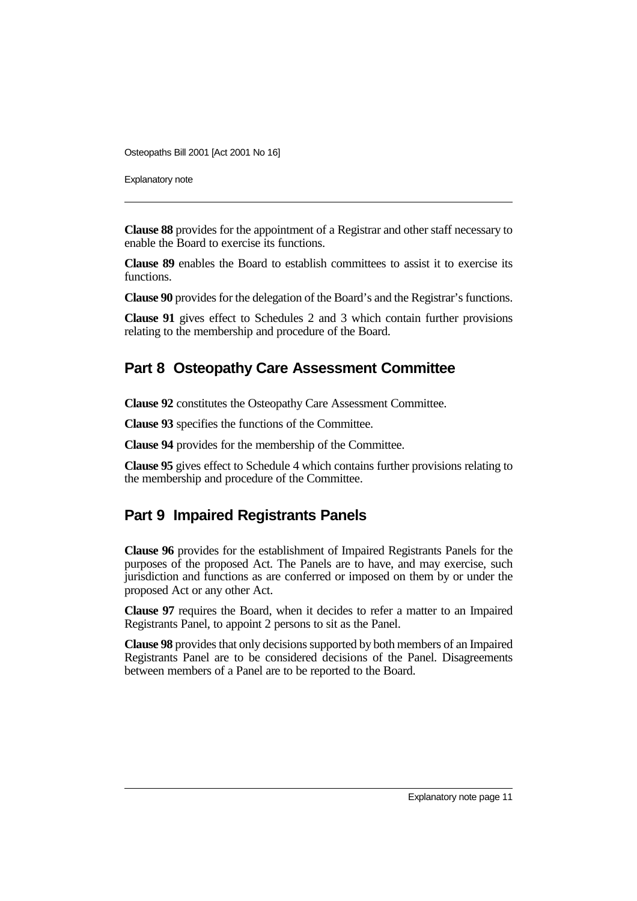Explanatory note

**Clause 88** provides for the appointment of a Registrar and other staff necessary to enable the Board to exercise its functions.

**Clause 89** enables the Board to establish committees to assist it to exercise its functions.

**Clause 90** provides for the delegation of the Board's and the Registrar's functions.

**Clause 91** gives effect to Schedules 2 and 3 which contain further provisions relating to the membership and procedure of the Board.

### **Part 8 Osteopathy Care Assessment Committee**

**Clause 92** constitutes the Osteopathy Care Assessment Committee.

**Clause 93** specifies the functions of the Committee.

**Clause 94** provides for the membership of the Committee.

**Clause 95** gives effect to Schedule 4 which contains further provisions relating to the membership and procedure of the Committee.

### **Part 9 Impaired Registrants Panels**

**Clause 96** provides for the establishment of Impaired Registrants Panels for the purposes of the proposed Act. The Panels are to have, and may exercise, such jurisdiction and functions as are conferred or imposed on them by or under the proposed Act or any other Act.

**Clause 97** requires the Board, when it decides to refer a matter to an Impaired Registrants Panel, to appoint 2 persons to sit as the Panel.

**Clause 98** provides that only decisions supported by both members of an Impaired Registrants Panel are to be considered decisions of the Panel. Disagreements between members of a Panel are to be reported to the Board.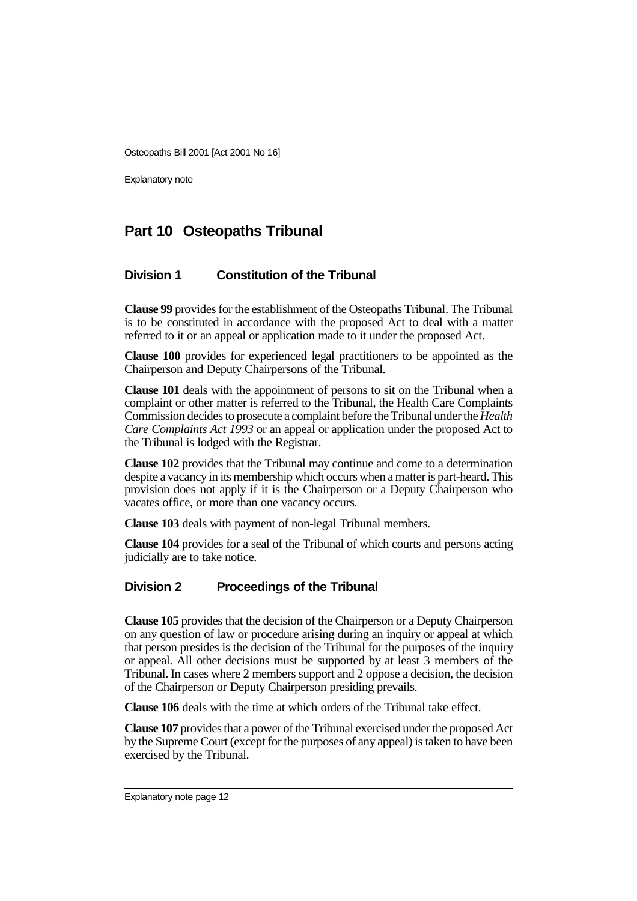Explanatory note

# **Part 10 Osteopaths Tribunal**

### **Division 1 Constitution of the Tribunal**

**Clause 99** provides for the establishment of the Osteopaths Tribunal. The Tribunal is to be constituted in accordance with the proposed Act to deal with a matter referred to it or an appeal or application made to it under the proposed Act.

**Clause 100** provides for experienced legal practitioners to be appointed as the Chairperson and Deputy Chairpersons of the Tribunal.

**Clause 101** deals with the appointment of persons to sit on the Tribunal when a complaint or other matter is referred to the Tribunal, the Health Care Complaints Commission decides to prosecute a complaint before the Tribunal under the *Health Care Complaints Act 1993* or an appeal or application under the proposed Act to the Tribunal is lodged with the Registrar.

**Clause 102** provides that the Tribunal may continue and come to a determination despite a vacancy in its membership which occurs when a matter is part-heard. This provision does not apply if it is the Chairperson or a Deputy Chairperson who vacates office, or more than one vacancy occurs.

**Clause 103** deals with payment of non-legal Tribunal members.

**Clause 104** provides for a seal of the Tribunal of which courts and persons acting judicially are to take notice.

### **Division 2 Proceedings of the Tribunal**

**Clause 105** provides that the decision of the Chairperson or a Deputy Chairperson on any question of law or procedure arising during an inquiry or appeal at which that person presides is the decision of the Tribunal for the purposes of the inquiry or appeal. All other decisions must be supported by at least 3 members of the Tribunal. In cases where 2 members support and 2 oppose a decision, the decision of the Chairperson or Deputy Chairperson presiding prevails.

**Clause 106** deals with the time at which orders of the Tribunal take effect.

**Clause 107** provides that a power of the Tribunal exercised under the proposed Act by the Supreme Court (except for the purposes of any appeal) is taken to have been exercised by the Tribunal.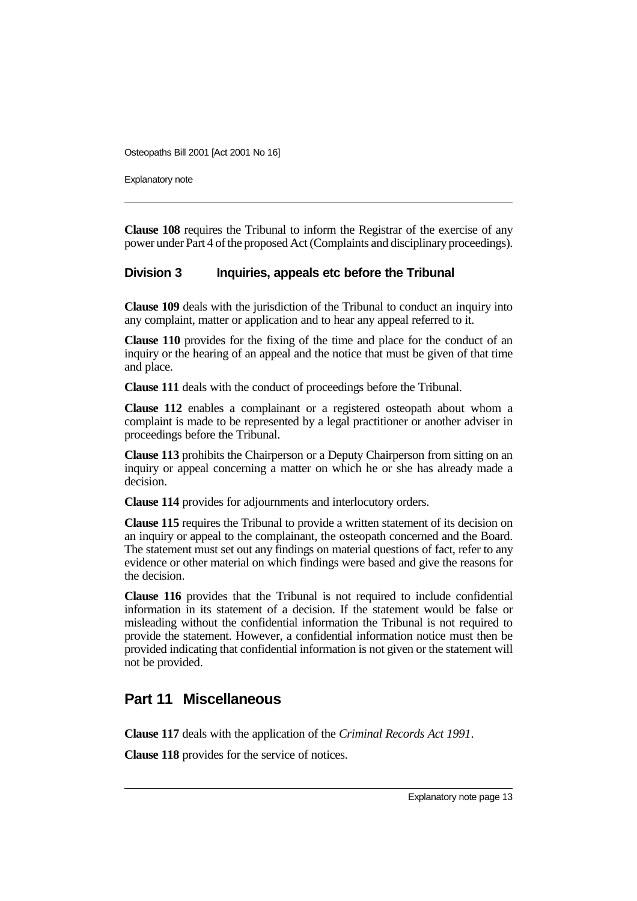Explanatory note

**Clause 108** requires the Tribunal to inform the Registrar of the exercise of any power under Part 4 of the proposed Act (Complaints and disciplinary proceedings).

#### **Division 3 Inquiries, appeals etc before the Tribunal**

**Clause 109** deals with the jurisdiction of the Tribunal to conduct an inquiry into any complaint, matter or application and to hear any appeal referred to it.

**Clause 110** provides for the fixing of the time and place for the conduct of an inquiry or the hearing of an appeal and the notice that must be given of that time and place.

**Clause 111** deals with the conduct of proceedings before the Tribunal.

**Clause 112** enables a complainant or a registered osteopath about whom a complaint is made to be represented by a legal practitioner or another adviser in proceedings before the Tribunal.

**Clause 113** prohibits the Chairperson or a Deputy Chairperson from sitting on an inquiry or appeal concerning a matter on which he or she has already made a decision.

**Clause 114** provides for adjournments and interlocutory orders.

**Clause 115** requires the Tribunal to provide a written statement of its decision on an inquiry or appeal to the complainant, the osteopath concerned and the Board. The statement must set out any findings on material questions of fact, refer to any evidence or other material on which findings were based and give the reasons for the decision.

**Clause 116** provides that the Tribunal is not required to include confidential information in its statement of a decision. If the statement would be false or misleading without the confidential information the Tribunal is not required to provide the statement. However, a confidential information notice must then be provided indicating that confidential information is not given or the statement will not be provided.

# **Part 11 Miscellaneous**

**Clause 117** deals with the application of the *Criminal Records Act 1991*.

**Clause 118** provides for the service of notices.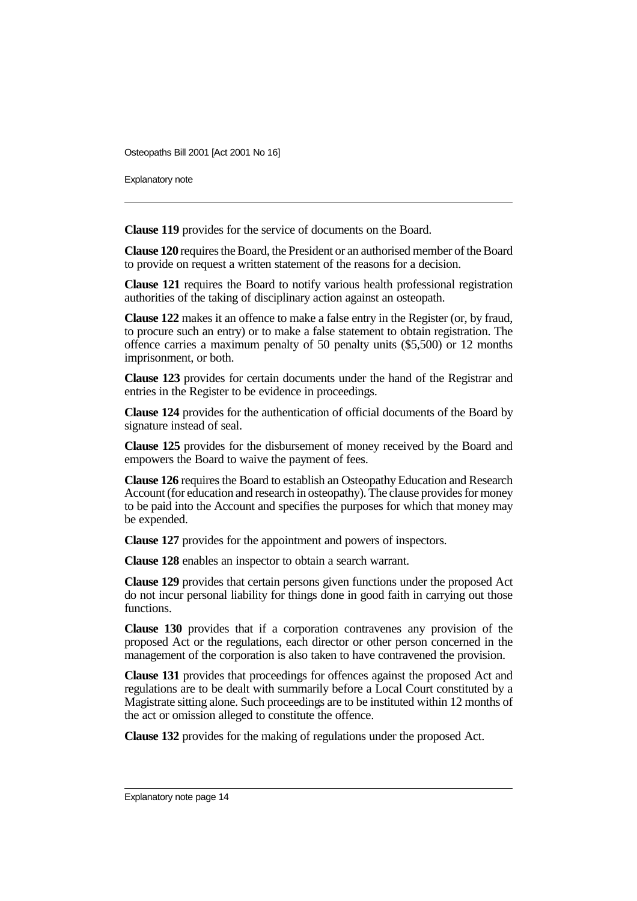Explanatory note

**Clause 119** provides for the service of documents on the Board.

**Clause 120** requires the Board, the President or an authorised member of the Board to provide on request a written statement of the reasons for a decision.

**Clause 121** requires the Board to notify various health professional registration authorities of the taking of disciplinary action against an osteopath.

**Clause 122** makes it an offence to make a false entry in the Register (or, by fraud, to procure such an entry) or to make a false statement to obtain registration. The offence carries a maximum penalty of 50 penalty units (\$5,500) or 12 months imprisonment, or both.

**Clause 123** provides for certain documents under the hand of the Registrar and entries in the Register to be evidence in proceedings.

**Clause 124** provides for the authentication of official documents of the Board by signature instead of seal.

**Clause 125** provides for the disbursement of money received by the Board and empowers the Board to waive the payment of fees.

**Clause 126** requires the Board to establish an Osteopathy Education and Research Account (for education and research in osteopathy). The clause provides for money to be paid into the Account and specifies the purposes for which that money may be expended.

**Clause 127** provides for the appointment and powers of inspectors.

**Clause 128** enables an inspector to obtain a search warrant.

**Clause 129** provides that certain persons given functions under the proposed Act do not incur personal liability for things done in good faith in carrying out those functions.

**Clause 130** provides that if a corporation contravenes any provision of the proposed Act or the regulations, each director or other person concerned in the management of the corporation is also taken to have contravened the provision.

**Clause 131** provides that proceedings for offences against the proposed Act and regulations are to be dealt with summarily before a Local Court constituted by a Magistrate sitting alone. Such proceedings are to be instituted within 12 months of the act or omission alleged to constitute the offence.

**Clause 132** provides for the making of regulations under the proposed Act.